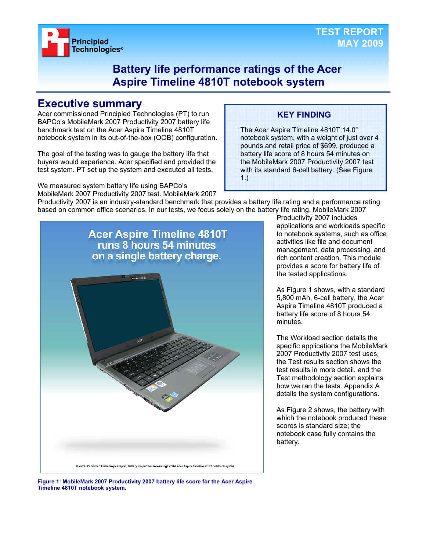

### **Battery life performance ratings of the Acer Aspire Timeline 4810T notebook system**

### **Executive summary**

Acer commissioned Principled Technologies (PT) to run BAPCo's MobileMark 2007 Productivity 2007 battery life benchmark test on the Acer Aspire Timeline 4810T notebook system in its out-of-the-box (OOB) configuration.

The goal of the testing was to gauge the battery life that buyers would experience. Acer specified and provided the test system. PT set up the system and executed all tests.

We measured system battery life using BAPCo's

#### MobileMark 2007 Productivity 2007 test. MobileMark 2007

# **KEY FINDING**

The Acer Aspire Timeline 4810T 14.0" notebook system, with a weight of just over 4 pounds and retail price of \$699, produced a battery life score of 8 hours 54 minutes on the MobileMark 2007 Productivity 2007 test with its standard 6-cell battery. (See Figure 1.)

Productivity 2007 is an industry-standard benchmark that provides a battery life rating and a performance rating based on common office scenarios. In our tests, we focus solely on the battery life rating. MobileMark 2007



Productivity 2007 includes applications and workloads specific to notebook systems, such as office activities like file and document management, data processing, and rich content creation. This module provides a score for battery life of the tested applications.

As Figure 1 shows, with a standard 5,800 mAh, 6-cell battery, the Acer Aspire Timeline 4810T produced a battery life score of 8 hours 54 minutes.

The Workload section details the specific applications the MobileMark 2007 Productivity 2007 test uses, the Test results section shows the test results in more detail, and the Test methodology section explains how we ran the tests. Appendix A details the system configurations.

As Figure 2 shows, the battery with which the notebook produced these scores is standard size; the notebook case fully contains the battery.

**Figure 1: MobileMark 2007 Productivity 2007 battery life score for the Acer Aspire Timeline 4810T notebook system.**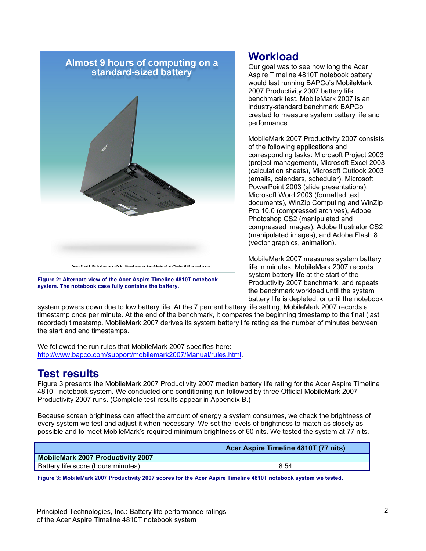

**Figure 2: Alternate view of the Acer Aspire Timeline 4810T notebook system. The notebook case fully contains the battery.** 

### **Workload**

Our goal was to see how long the Acer Aspire Timeline 4810T notebook battery would last running BAPCo's MobileMark 2007 Productivity 2007 battery life benchmark test. MobileMark 2007 is an industry-standard benchmark BAPCo created to measure system battery life and performance.

MobileMark 2007 Productivity 2007 consists of the following applications and corresponding tasks: Microsoft Project 2003 (project management), Microsoft Excel 2003 (calculation sheets), Microsoft Outlook 2003 (emails, calendars, scheduler), Microsoft PowerPoint 2003 (slide presentations), Microsoft Word 2003 (formatted text documents), WinZip Computing and WinZip Pro 10.0 (compressed archives), Adobe Photoshop CS2 (manipulated and compressed images), Adobe Illustrator CS2 (manipulated images), and Adobe Flash 8 (vector graphics, animation).

MobileMark 2007 measures system battery life in minutes. MobileMark 2007 records system battery life at the start of the Productivity 2007 benchmark, and repeats the benchmark workload until the system battery life is depleted, or until the notebook

system powers down due to low battery life. At the 7 percent battery life setting, MobileMark 2007 records a timestamp once per minute. At the end of the benchmark, it compares the beginning timestamp to the final (last recorded) timestamp. MobileMark 2007 derives its system battery life rating as the number of minutes between the start and end timestamps.

We followed the run rules that MobileMark 2007 specifies here: http://www.bapco.com/support/mobilemark2007/Manual/rules.html.

### **Test results**

Figure 3 presents the MobileMark 2007 Productivity 2007 median battery life rating for the Acer Aspire Timeline 4810T notebook system. We conducted one conditioning run followed by three Official MobileMark 2007 Productivity 2007 runs. (Complete test results appear in Appendix B.)

Because screen brightness can affect the amount of energy a system consumes, we check the brightness of every system we test and adjust it when necessary. We set the levels of brightness to match as closely as possible and to meet MobileMark's required minimum brightness of 60 nits. We tested the system at 77 nits.

| Acer Aspire Timeline 4810T (77 nits) |
|--------------------------------------|
|                                      |
| 8:54                                 |
|                                      |

**Figure 3: MobileMark 2007 Productivity 2007 scores for the Acer Aspire Timeline 4810T notebook system we tested.**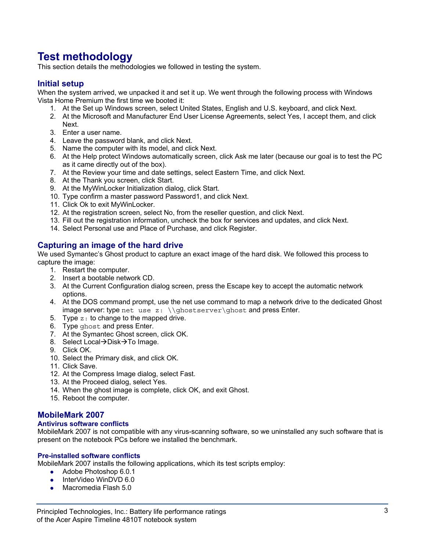## **Test methodology**

This section details the methodologies we followed in testing the system.

#### **Initial setup**

When the system arrived, we unpacked it and set it up. We went through the following process with Windows Vista Home Premium the first time we booted it:

- 1. At the Set up Windows screen, select United States, English and U.S. keyboard, and click Next.
- 2. At the Microsoft and Manufacturer End User License Agreements, select Yes, I accept them, and click Next.
- 3. Enter a user name.
- 4. Leave the password blank, and click Next.
- 5. Name the computer with its model, and click Next.
- 6. At the Help protect Windows automatically screen, click Ask me later (because our goal is to test the PC as it came directly out of the box).
- 7. At the Review your time and date settings, select Eastern Time, and click Next.
- 8. At the Thank you screen, click Start.
- 9. At the MyWinLocker Initialization dialog, click Start.
- 10. Type confirm a master password Password1, and click Next.
- 11. Click Ok to exit MyWinLocker.
- 12. At the registration screen, select No, from the reseller question, and click Next.
- 13. Fill out the registration information, uncheck the box for services and updates, and click Next.
- 14. Select Personal use and Place of Purchase, and click Register.

#### **Capturing an image of the hard drive**

We used Symantec's Ghost product to capture an exact image of the hard disk. We followed this process to capture the image:

- 1. Restart the computer.
- 2. Insert a bootable network CD.
- 3. At the Current Configuration dialog screen, press the Escape key to accept the automatic network options.
- 4. At the DOS command prompt, use the net use command to map a network drive to the dedicated Ghost image server: type net use  $z: \{\gh{\oslash} x\}$  and press Enter.
- 5. Type  $z:$  to change to the mapped drive.
- 6. Type ghost and press Enter.
- 7. At the Symantec Ghost screen, click OK.
- 8. Select Local→Disk→To Image.
- 9. Click OK.
- 10. Select the Primary disk, and click OK.
- 11. Click Save.
- 12. At the Compress Image dialog, select Fast.
- 13. At the Proceed dialog, select Yes.
- 14. When the ghost image is complete, click OK, and exit Ghost.
- 15. Reboot the computer.

#### **MobileMark 2007**

#### **Antivirus software conflicts**

MobileMark 2007 is not compatible with any virus-scanning software, so we uninstalled any such software that is present on the notebook PCs before we installed the benchmark.

#### **Pre-installed software conflicts**

MobileMark 2007 installs the following applications, which its test scripts employ:

- $\bullet$  Adobe Photoshop 6.0.1
- InterVideo WinDVD 6.0
- $\bullet$  Macromedia Flash 5.0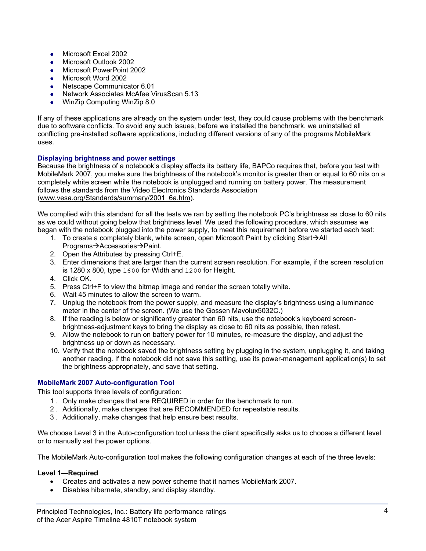- $\bullet$  Microsoft Excel 2002
- Microsoft Outlook 2002
- Microsoft PowerPoint 2002
- Microsoft Word 2002
- Netscape Communicator 6.01
- Network Associates McAfee VirusScan 5.13
- WinZip Computing WinZip 8.0

If any of these applications are already on the system under test, they could cause problems with the benchmark due to software conflicts. To avoid any such issues, before we installed the benchmark, we uninstalled all conflicting pre-installed software applications, including different versions of any of the programs MobileMark uses.

#### **Displaying brightness and power settings**

Because the brightness of a notebook's display affects its battery life, BAPCo requires that, before you test with MobileMark 2007, you make sure the brightness of the notebook's monitor is greater than or equal to 60 nits on a completely white screen while the notebook is unplugged and running on battery power. The measurement follows the standards from the Video Electronics Standards Association (www.vesa.org/Standards/summary/2001\_6a.htm).

We complied with this standard for all the tests we ran by setting the notebook PC's brightness as close to 60 nits as we could without going below that brightness level. We used the following procedure, which assumes we began with the notebook plugged into the power supply, to meet this requirement before we started each test:

- 1. To create a completely blank, white screen, open Microsoft Paint by clicking Start $\rightarrow$ All Programs→Accessories→Paint.
- 2. Open the Attributes by pressing Ctrl+E.
- 3. Enter dimensions that are larger than the current screen resolution. For example, if the screen resolution is 1280 x 800, type 1600 for Width and 1200 for Height.
- 4. Click OK.
- 5. Press Ctrl+F to view the bitmap image and render the screen totally white.
- 6. Wait 45 minutes to allow the screen to warm.
- 7. Unplug the notebook from the power supply, and measure the display's brightness using a luminance meter in the center of the screen. (We use the Gossen Mavolux5032C.)
- 8. If the reading is below or significantly greater than 60 nits, use the notebook's keyboard screenbrightness-adjustment keys to bring the display as close to 60 nits as possible, then retest.
- 9. Allow the notebook to run on battery power for 10 minutes, re-measure the display, and adjust the brightness up or down as necessary.
- 10. Verify that the notebook saved the brightness setting by plugging in the system, unplugging it, and taking another reading. If the notebook did not save this setting, use its power-management application(s) to set the brightness appropriately, and save that setting.

#### **MobileMark 2007 Auto-configuration Tool**

This tool supports three levels of configuration:

- 1 . Only make changes that are REQUIRED in order for the benchmark to run.
- 2 . Additionally, make changes that are RECOMMENDED for repeatable results.
- 3 . Additionally, make changes that help ensure best results.

We choose Level 3 in the Auto-configuration tool unless the client specifically asks us to choose a different level or to manually set the power options.

The MobileMark Auto-configuration tool makes the following configuration changes at each of the three levels:

#### **Level 1—Required**

- Creates and activates a new power scheme that it names MobileMark 2007.
- Disables hibernate, standby, and display standby.

Principled Technologies, Inc.: Battery life performance ratings 4 of the Acer Aspire Timeline 4810T notebook system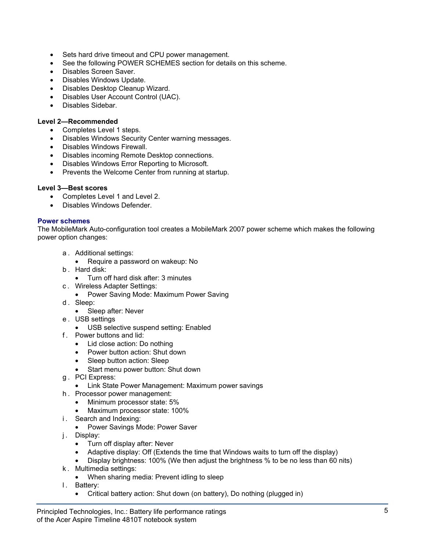- Sets hard drive timeout and CPU power management.
- See the following POWER SCHEMES section for details on this scheme.
- Disables Screen Saver.
- Disables Windows Update.
- Disables Desktop Cleanup Wizard.
- Disables User Account Control (UAC).
- Disables Sidebar.

#### **Level 2—Recommended**

- Completes Level 1 steps.
- Disables Windows Security Center warning messages.
- Disables Windows Firewall.
- Disables incoming Remote Desktop connections.
- Disables Windows Error Reporting to Microsoft.
- Prevents the Welcome Center from running at startup.

#### **Level 3—Best scores**

- Completes Level 1 and Level 2.
- Disables Windows Defender.

#### **Power schemes**

The MobileMark Auto-configuration tool creates a MobileMark 2007 power scheme which makes the following power option changes:

- a . Additional settings:
- Require a password on wakeup: No
- b . Hard disk:
	- Turn off hard disk after: 3 minutes
- c . Wireless Adapter Settings:
	- Power Saving Mode: Maximum Power Saving
- d. Sleep:
	- Sleep after: Never
- e . USB settings
	- USB selective suspend setting: Enabled
- f . Power buttons and lid:
	- Lid close action: Do nothing
	- Power button action: Shut down
	- Sleep button action: Sleep
	- Start menu power button: Shut down
- g . PCI Express:
	- Link State Power Management: Maximum power savings
- h . Processor power management:
	- Minimum processor state: 5%
	- Maximum processor state: 100%
- i. Search and Indexing:
	- Power Savings Mode: Power Saver
- j. Display:
	- Turn off display after: Never
	- Adaptive display: Off (Extends the time that Windows waits to turn off the display)
	- Display brightness: 100% (We then adjust the brightness % to be no less than 60 nits)
- k . Multimedia settings:
	- When sharing media: Prevent idling to sleep
- I. Battery:
	- Critical battery action: Shut down (on battery), Do nothing (plugged in)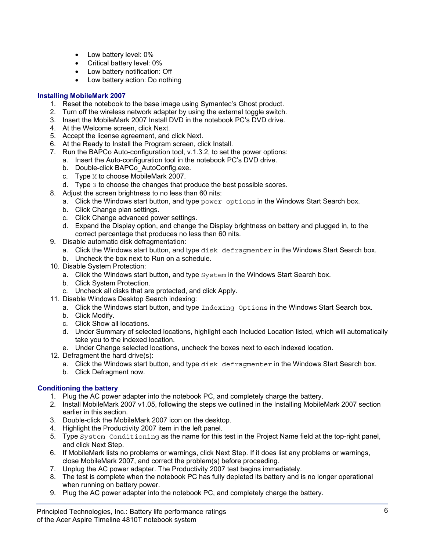- Low battery level: 0%
- Critical battery level: 0%
- Low battery notification: Off
- Low battery action: Do nothing

#### **Installing MobileMark 2007**

- 1. Reset the notebook to the base image using Symantec's Ghost product.
- 2. Turn off the wireless network adapter by using the external toggle switch.
- 3. Insert the MobileMark 2007 Install DVD in the notebook PC's DVD drive.
- 4. At the Welcome screen, click Next.
- 5. Accept the license agreement, and click Next.
- 6. At the Ready to Install the Program screen, click Install.
- 7. Run the BAPCo Auto-configuration tool, v.1.3.2, to set the power options:
	- a. Insert the Auto-configuration tool in the notebook PC's DVD drive.
	- b. Double-click BAPCo AutoConfig.exe.
	- c. Type M to choose MobileMark 2007.
	- d. Type 3 to choose the changes that produce the best possible scores.
- 8. Adjust the screen brightness to no less than 60 nits:
	- a. Click the Windows start button, and type power options in the Windows Start Search box.
		- b. Click Change plan settings.
		- c. Click Change advanced power settings.
		- d. Expand the Display option, and change the Display brightness on battery and plugged in, to the correct percentage that produces no less than 60 nits.
- 9. Disable automatic disk defragmentation:
	- a. Click the Windows start button, and type disk defragmenter in the Windows Start Search box.
	- b. Uncheck the box next to Run on a schedule.
- 10. Disable System Protection:
	- a. Click the Windows start button, and type System in the Windows Start Search box.
	- b. Click System Protection.
	- c. Uncheck all disks that are protected, and click Apply.
- 11. Disable Windows Desktop Search indexing:
	- a. Click the Windows start button, and type Indexing Options in the Windows Start Search box.
	- b. Click Modify.
	- c. Click Show all locations.
	- d. Under Summary of selected locations, highlight each Included Location listed, which will automatically take you to the indexed location.
	- e. Under Change selected locations, uncheck the boxes next to each indexed location.
- 12. Defragment the hard drive(s):
	- a. Click the Windows start button, and type disk defragmenter in the Windows Start Search box.
	- b. Click Defragment now.

#### **Conditioning the battery**

- 1. Plug the AC power adapter into the notebook PC, and completely charge the battery.
- 2. Install MobileMark 2007 v1.05, following the steps we outlined in the Installing MobileMark 2007 section earlier in this section.
- 3. Double-click the MobileMark 2007 icon on the desktop.
- 4. Highlight the Productivity 2007 item in the left panel.
- 5. Type System Conditioning as the name for this test in the Project Name field at the top-right panel, and click Next Step.
- 6. If MobileMark lists no problems or warnings, click Next Step. If it does list any problems or warnings, close MobileMark 2007, and correct the problem(s) before proceeding.
- 7. Unplug the AC power adapter. The Productivity 2007 test begins immediately.
- 8. The test is complete when the notebook PC has fully depleted its battery and is no longer operational when running on battery power.
- 9. Plug the AC power adapter into the notebook PC, and completely charge the battery.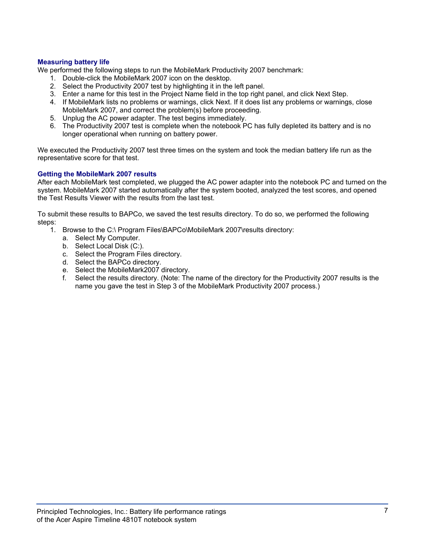#### **Measuring battery life**

We performed the following steps to run the MobileMark Productivity 2007 benchmark:

- 1. Double-click the MobileMark 2007 icon on the desktop.
- 2. Select the Productivity 2007 test by highlighting it in the left panel.
- 3. Enter a name for this test in the Project Name field in the top right panel, and click Next Step.
- 4. If MobileMark lists no problems or warnings, click Next. If it does list any problems or warnings, close MobileMark 2007, and correct the problem(s) before proceeding.
- 5. Unplug the AC power adapter. The test begins immediately.
- 6. The Productivity 2007 test is complete when the notebook PC has fully depleted its battery and is no longer operational when running on battery power.

We executed the Productivity 2007 test three times on the system and took the median battery life run as the representative score for that test.

#### **Getting the MobileMark 2007 results**

After each MobileMark test completed, we plugged the AC power adapter into the notebook PC and turned on the system. MobileMark 2007 started automatically after the system booted, analyzed the test scores, and opened the Test Results Viewer with the results from the last test.

To submit these results to BAPCo, we saved the test results directory. To do so, we performed the following steps:

- 1. Browse to the C:\ Program Files\BAPCo\MobileMark 2007\results directory:
	- a. Select My Computer.
	- b. Select Local Disk (C:).
	- c. Select the Program Files directory.
	- d. Select the BAPCo directory.
	- e. Select the MobileMark2007 directory.
	- f. Select the results directory. (Note: The name of the directory for the Productivity 2007 results is the name you gave the test in Step 3 of the MobileMark Productivity 2007 process.)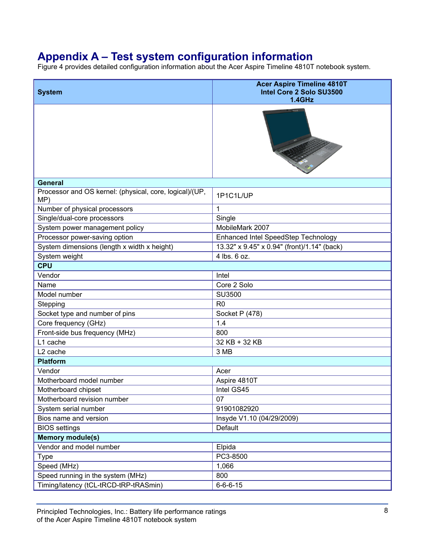# **Appendix A – Test system configuration information**

Figure 4 provides detailed configuration information about the Acer Aspire Timeline 4810T notebook system.

| <b>System</b>                                                  | <b>Acer Aspire Timeline 4810T</b><br>Intel Core 2 Solo SU3500<br>1.4GHz |
|----------------------------------------------------------------|-------------------------------------------------------------------------|
|                                                                |                                                                         |
| <b>General</b>                                                 |                                                                         |
| Processor and OS kernel: (physical, core, logical)/(UP,<br>MP) | 1P1C1L/UP                                                               |
| Number of physical processors                                  | 1                                                                       |
| Single/dual-core processors                                    | Single                                                                  |
| System power management policy                                 | MobileMark 2007                                                         |
| Processor power-saving option                                  | Enhanced Intel SpeedStep Technology                                     |
| System dimensions (length x width x height)                    | 13.32" x 9.45" x 0.94" (front)/1.14" (back)                             |
| System weight                                                  | 4 lbs. 6 oz.                                                            |
| <b>CPU</b>                                                     |                                                                         |
| Vendor                                                         | Intel                                                                   |
| Name                                                           | Core 2 Solo                                                             |
| Model number                                                   | SU3500                                                                  |
| Stepping                                                       | R <sub>0</sub>                                                          |
| Socket type and number of pins                                 | Socket P (478)                                                          |
| Core frequency (GHz)                                           | 1.4                                                                     |
| Front-side bus frequency (MHz)                                 | 800                                                                     |
| L1 cache                                                       | 32 KB + 32 KB                                                           |
| L <sub>2</sub> cache                                           | 3 MB                                                                    |
| <b>Platform</b>                                                |                                                                         |
| Vendor                                                         | Acer                                                                    |
| Motherboard model number                                       | Aspire 4810T                                                            |
| Motherboard chipset                                            | Intel GS45                                                              |
| Motherboard revision number                                    | 07                                                                      |
| System serial number                                           | 91901082920                                                             |
| Bios name and version                                          | Insyde V1.10 (04/29/2009)                                               |
| <b>BIOS</b> settings                                           | Default                                                                 |
| <b>Memory module(s)</b>                                        |                                                                         |
| Vendor and model number                                        | Elpida                                                                  |
| <b>Type</b>                                                    | PC3-8500                                                                |
| Speed (MHz)                                                    | 1,066                                                                   |
| Speed running in the system (MHz)                              | 800                                                                     |
| Timing/latency (tCL-tRCD-tRP-tRASmin)                          | $6 - 6 - 6 - 15$                                                        |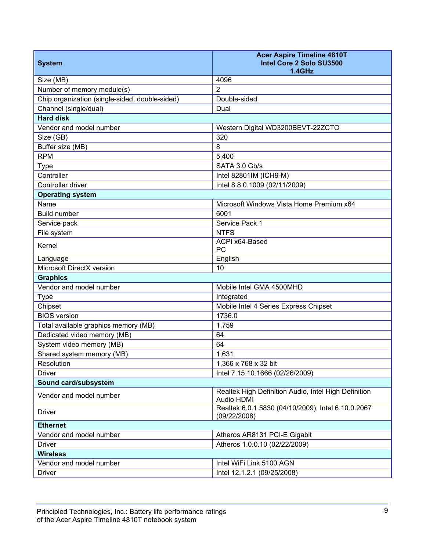| <b>System</b>                                  | <b>Acer Aspire Timeline 4810T</b><br>Intel Core 2 Solo SU3500<br>$1.4$ GHz |
|------------------------------------------------|----------------------------------------------------------------------------|
| Size (MB)                                      | 4096                                                                       |
| Number of memory module(s)                     | 2                                                                          |
| Chip organization (single-sided, double-sided) | Double-sided                                                               |
| Channel (single/dual)                          | Dual                                                                       |
| <b>Hard disk</b>                               |                                                                            |
| Vendor and model number                        | Western Digital WD3200BEVT-22ZCTO                                          |
| Size (GB)                                      | 320                                                                        |
| Buffer size (MB)                               | 8                                                                          |
| <b>RPM</b>                                     | 5,400                                                                      |
| <b>Type</b>                                    | SATA 3.0 Gb/s                                                              |
| Controller                                     | Intel 82801IM (ICH9-M)                                                     |
| Controller driver                              | Intel 8.8.0.1009 (02/11/2009)                                              |
| <b>Operating system</b>                        |                                                                            |
| Name                                           | Microsoft Windows Vista Home Premium x64                                   |
| <b>Build number</b>                            | 6001                                                                       |
| Service pack                                   | Service Pack 1                                                             |
| File system                                    | <b>NTFS</b>                                                                |
| Kernel                                         | ACPI x64-Based<br>PC                                                       |
| Language                                       | English                                                                    |
| Microsoft DirectX version                      | 10                                                                         |
| <b>Graphics</b>                                |                                                                            |
| Vendor and model number                        | Mobile Intel GMA 4500MHD                                                   |
| <b>Type</b>                                    | Integrated                                                                 |
| Chipset                                        | Mobile Intel 4 Series Express Chipset                                      |
| <b>BIOS</b> version                            | 1736.0                                                                     |
| Total available graphics memory (MB)           | 1,759                                                                      |
| Dedicated video memory (MB)                    | 64                                                                         |
| System video memory (MB)                       | 64                                                                         |
| Shared system memory (MB)                      | 1,631                                                                      |
| Resolution                                     | 1,366 x 768 x 32 bit                                                       |
| <b>Driver</b>                                  | Intel 7.15.10.1666 (02/26/2009)                                            |
| Sound card/subsystem                           |                                                                            |
| Vendor and model number                        | Realtek High Definition Audio, Intel High Definition<br>Audio HDMI         |
| <b>Driver</b>                                  | Realtek 6.0.1.5830 (04/10/2009), Intel 6.10.0.2067<br>(09/22/2008)         |
| <b>Ethernet</b>                                |                                                                            |
| Vendor and model number                        | Atheros AR8131 PCI-E Gigabit                                               |
| <b>Driver</b>                                  | Atheros 1.0.0.10 (02/22/2009)                                              |
| <b>Wireless</b>                                |                                                                            |
| Vendor and model number                        | Intel WiFi Link 5100 AGN                                                   |
| <b>Driver</b>                                  | Intel 12.1.2.1 (09/25/2008)                                                |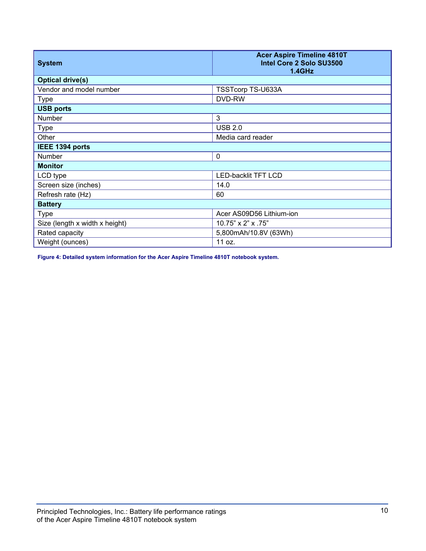| <b>System</b>                  | <b>Acer Aspire Timeline 4810T</b><br>Intel Core 2 Solo SU3500<br>1.4GHz |
|--------------------------------|-------------------------------------------------------------------------|
| <b>Optical drive(s)</b>        |                                                                         |
| Vendor and model number        | TSSTcorp TS-U633A                                                       |
| <b>Type</b>                    | DVD-RW                                                                  |
| <b>USB ports</b>               |                                                                         |
| <b>Number</b>                  | 3                                                                       |
| <b>Type</b>                    | <b>USB 2.0</b>                                                          |
| Other                          | Media card reader                                                       |
| IEEE 1394 ports                |                                                                         |
| Number                         | $\mathbf 0$                                                             |
| <b>Monitor</b>                 |                                                                         |
| LCD type                       | <b>LED-backlit TFT LCD</b>                                              |
| Screen size (inches)           | 14.0                                                                    |
| Refresh rate (Hz)              | 60                                                                      |
| <b>Battery</b>                 |                                                                         |
| <b>Type</b>                    | Acer AS09D56 Lithium-ion                                                |
| Size (length x width x height) | 10.75" x 2" x .75"                                                      |
| Rated capacity                 | 5,800mAh/10.8V (63Wh)                                                   |
| Weight (ounces)                | 11 oz.                                                                  |

**Figure 4: Detailed system information for the Acer Aspire Timeline 4810T notebook system.**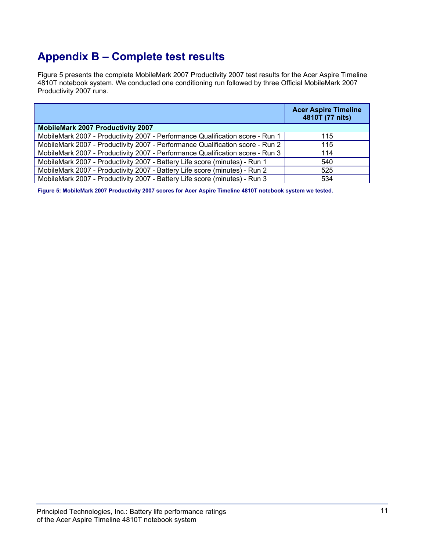# **Appendix B – Complete test results**

Figure 5 presents the complete MobileMark 2007 Productivity 2007 test results for the Acer Aspire Timeline 4810T notebook system. We conducted one conditioning run followed by three Official MobileMark 2007 Productivity 2007 runs.

|                                                                               | <b>Acer Aspire Timeline</b><br>4810T (77 nits) |
|-------------------------------------------------------------------------------|------------------------------------------------|
| <b>MobileMark 2007 Productivity 2007</b>                                      |                                                |
| MobileMark 2007 - Productivity 2007 - Performance Qualification score - Run 1 | 115                                            |
| MobileMark 2007 - Productivity 2007 - Performance Qualification score - Run 2 | 115                                            |
| MobileMark 2007 - Productivity 2007 - Performance Qualification score - Run 3 | 114                                            |
| MobileMark 2007 - Productivity 2007 - Battery Life score (minutes) - Run 1    | 540                                            |
| MobileMark 2007 - Productivity 2007 - Battery Life score (minutes) - Run 2    | 525                                            |
| MobileMark 2007 - Productivity 2007 - Battery Life score (minutes) - Run 3    | 534                                            |

**Figure 5: MobileMark 2007 Productivity 2007 scores for Acer Aspire Timeline 4810T notebook system we tested.**